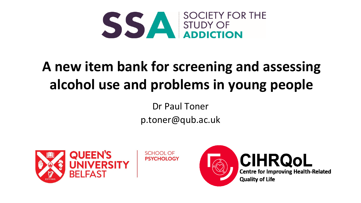

# **A new item bank for screening and assessing alcohol use and problems in young people**

Dr Paul Toner p.toner@qub.ac.uk





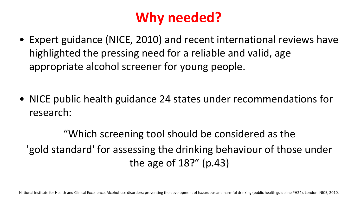# **Why needed?**

• Expert guidance (NICE, 2010) and recent international reviews have highlighted the pressing need for a reliable and valid, age appropriate alcohol screener for young people.

• NICE public health guidance 24 states under recommendations for research:

"Which screening tool should be considered as the 'gold standard' for assessing the drinking behaviour of those under the age of 18?" (p.43)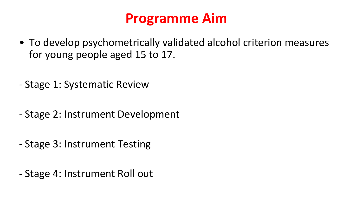## **Programme Aim**

- To develop psychometrically validated alcohol criterion measures for young people aged 15 to 17.
- Stage 1: Systematic Review
- Stage 2: Instrument Development
- Stage 3: Instrument Testing
- Stage 4: Instrument Roll out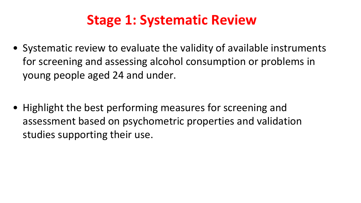# **Stage 1: Systematic Review**

• Systematic review to evaluate the validity of available instruments for screening and assessing alcohol consumption or problems in young people aged 24 and under.

• Highlight the best performing measures for screening and assessment based on psychometric properties and validation studies supporting their use.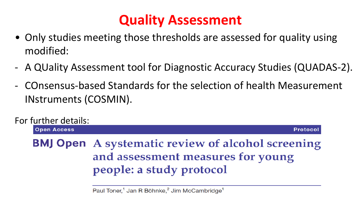# **Quality Assessment**

- Only studies meeting those thresholds are assessed for quality using modified:
- A QUality Assessment tool for Diagnostic Accuracy Studies (QUADAS-2).
- COnsensus-based Standards for the selection of health Measurement INstruments (COSMIN).



Paul Toner,<sup>1</sup> Jan R Böhnke,<sup>2</sup> Jim McCambridge<sup>1</sup>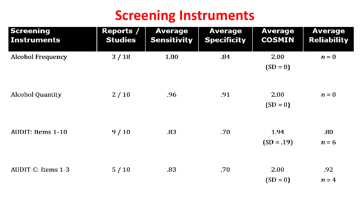#### **Screening Instruments**

| <b>Screening</b><br>Instruments | <b>Reports /</b><br><b>Studies</b> | <b>Average</b><br><b>Sensitivity</b> | <b>Average</b><br><b>Specificity</b> | <b>Average</b><br><b>COSMIN</b> | <b>Average</b><br><b>Reliability</b> |
|---------------------------------|------------------------------------|--------------------------------------|--------------------------------------|---------------------------------|--------------------------------------|
| <b>Alcohol Frequency</b>        | 3/18                               | 1.00                                 | .84                                  | 2.00<br>$(SD = 0)$              | $n=0$                                |
| Alcohol Quantity                | 2/10                               | .96                                  | .91                                  | 2.00<br>$(SD = 0)$              | $n=0$                                |
| AUDIT: Items 1-10               | 9/10                               | .83                                  | .70 <sub>1</sub>                     | 1.94<br>$(SD = .19)$            | .80<br>$n = 6$                       |
| AUDIT-C: Items 1-3              | 5/10                               | .83                                  | .70                                  | 2.00<br>$(SD = 0)$              | .92<br>$n=4$                         |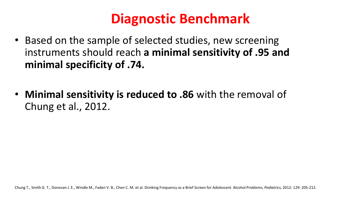## **Diagnostic Benchmark**

- Based on the sample of selected studies, new screening instruments should reach **a minimal sensitivity of .95 and minimal specificity of .74.**
- **Minimal sensitivity is reduced to .86** with the removal of Chung et al., 2012.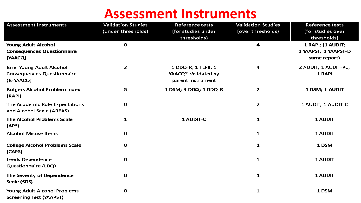#### **Assessment Instruments**

| <b>Assessment Instruments</b>                                                      | <b>Validation Studies</b><br>(under thresholds) | <b>Reference tests</b><br>(for studies under<br>thresholds)    | <b>Validation Studies</b><br>(over thresholds) | <b>Reference tests</b><br>(for studies over<br>thresholds) |
|------------------------------------------------------------------------------------|-------------------------------------------------|----------------------------------------------------------------|------------------------------------------------|------------------------------------------------------------|
| <b>Young Adult Alcohol</b><br><b>Consequences Questionnaire</b><br>(YAACQ)         | $\bf{0}$                                        |                                                                | 4                                              | 1 RAPI; (1 AUDIT;<br>1 YAAPST; 1 YAAPST-D<br>same report)  |
| <b>Brief Young Adult Alcohol</b><br><b>Consequences Questionnaire</b><br>(B-YAACQ) | 3                                               | 1 DDQ-R; 1 TLFB; 1<br>YAACQ* Validated by<br>parent instrument | 4                                              | 2 AUDIT; 1 AUDIT-PC;<br>1 RAPI                             |
| <b>Rutgers Alcohol Problem Index</b><br>(RAPI)                                     | 5.                                              | 1 DSM; 3 DDQ; 1 DDQ-R                                          | $\overline{2}$                                 | 1 DSM; 1 AUDIT                                             |
| The Academic Role Expectations<br>and Alcohol Scale (AREAS)                        | 0                                               |                                                                | $\overline{2}$                                 | 1 AUDIT; 1 AUDIT-C                                         |
| The Alcohol Problems Scale<br>(APS)                                                | $\mathbf{1}$                                    | 1 AUDIT-C                                                      | 1                                              | 1 AUDIT                                                    |
| <b>Alcohol Misuse Items</b>                                                        | 0                                               |                                                                | 1                                              | 1 AUDIT                                                    |
| <b>College Alcohol Problems Scale</b><br>(CAPS)                                    | 0                                               |                                                                | 1                                              | 1 DSM                                                      |
| Leeds Dependence<br>Questionnaire (LDQ)                                            | 0                                               |                                                                | 1                                              | 1 AUDIT                                                    |
| The Severity of Dependence<br>Scale (SDS)                                          | 0                                               |                                                                | 1                                              | 1 AUDIT                                                    |
| Young Adult Alcohol Problems<br><b>Screening Test (YAAPST)</b>                     | 0                                               |                                                                | 1                                              | 1 DSM                                                      |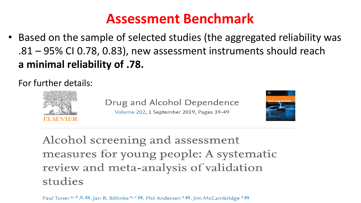#### **Assessment Benchmark**

• Based on the sample of selected studies (the aggregated reliability was .81 – 95% CI 0.78, 0.83), new assessment instruments should reach **a minimal reliability of .78.** 

For further details:



Drug and Alcohol Dependence Volume 202, 1 September 2019, Pages 39-49



Alcohol screening and assessment measures for young people: A systematic review and meta-analysis of validation studies

Paul Toner<sup>a, b</sup> &  $\boxtimes$ , Jan R. Böhnke<sup>a, c</sup>  $\boxtimes$ , Phil Andersen<sup>a</sup>  $\boxtimes$ , Jim McCambridge<sup>a</sup>  $\boxtimes$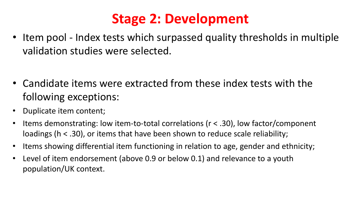## **Stage 2: Development**

• Item pool - Index tests which surpassed quality thresholds in multiple validation studies were selected.

- Candidate items were extracted from these index tests with the following exceptions:
- Duplicate item content;
- Items demonstrating: low item-to-total correlations ( $r < .30$ ), low factor/component loadings (h < .30), or items that have been shown to reduce scale reliability;
- Items showing differential item functioning in relation to age, gender and ethnicity;
- Level of item endorsement (above 0.9 or below 0.1) and relevance to a youth population/UK context.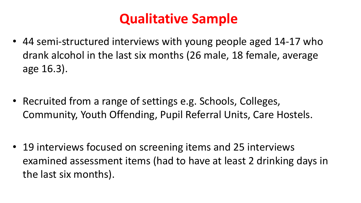# **Qualitative Sample**

• 44 semi-structured interviews with young people aged 14-17 who drank alcohol in the last six months (26 male, 18 female, average age 16.3).

• Recruited from a range of settings e.g. Schools, Colleges, Community, Youth Offending, Pupil Referral Units, Care Hostels.

• 19 interviews focused on screening items and 25 interviews examined assessment items (had to have at least 2 drinking days in the last six months).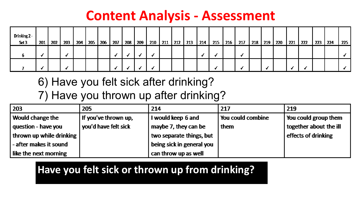#### **Content Analysis - Assessment**

| Drinking 2 -<br>Set 3 | 201 | 202 | 203 | 204 | 205 | 206 | 207 | 208 | 209 | 210 | 211 | 212 | 213 | 214 | 215 | 216 | 217 | 218 | 219 | 220 | $\frac{1}{221}$ | 222 | 223 | 224 | 225 |
|-----------------------|-----|-----|-----|-----|-----|-----|-----|-----|-----|-----|-----|-----|-----|-----|-----|-----|-----|-----|-----|-----|-----------------|-----|-----|-----|-----|
|                       |     |     |     |     |     |     |     |     |     |     |     |     |     |     |     |     |     |     |     |     |                 |     |     |     |     |
|                       |     |     |     |     |     |     |     |     |     |     |     |     |     |     |     |     |     |     |     |     |                 |     |     |     |     |

#### 6) Have you felt sick after drinking? 7) Have you thrown up after drinking?

| 203                      | 205                  | 214                       | 217               | 219                    |
|--------------------------|----------------------|---------------------------|-------------------|------------------------|
| Would change the         | If you've thrown up, | I would keep 6 and        | You could combine | You could group them   |
| question - have you      | you'd have felt sick | maybe 7, they can be      | them              | together about the ill |
| thrown up while drinking |                      | two separate things, but  |                   | effects of drinking    |
| - after makes it sound   |                      | being sick in general you |                   |                        |
| like the next morning    |                      | can throw up as well      |                   |                        |

#### **Have you felt sick or thrown up from drinking?**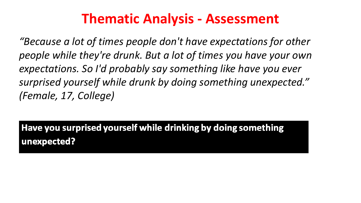#### **Thematic Analysis - Assessment**

*"Because a lot of times people don't have expectations for other people while they're drunk. But a lot of times you have your own expectations. So I'd probably say something like have you ever surprised yourself while drunk by doing something unexpected." (Female, 17, College)*

Have you surprised yourself while drinking by doing something unexpected?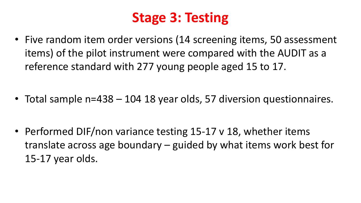# **Stage 3: Testing**

• Five random item order versions (14 screening items, 50 assessment items) of the pilot instrument were compared with the AUDIT as a reference standard with 277 young people aged 15 to 17.

• Total sample n=438 – 104 18 year olds, 57 diversion questionnaires.

• Performed DIF/non variance testing 15-17 v 18, whether items translate across age boundary – guided by what items work best for 15-17 year olds.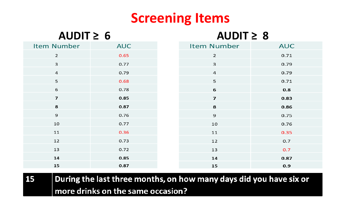## **Screening Items**

| AUDIT $\geq 6$     |            | AUDIT $\geq 8$          |            |
|--------------------|------------|-------------------------|------------|
| <b>Item Number</b> | <b>AUC</b> | <b>Item Number</b>      | <b>AUC</b> |
| $\overline{2}$     | 0.65       | $\overline{2}$          | 0.71       |
| 3                  | 0.77       | 3                       | 0.79       |
| $\sqrt{4}$         | 0.79       | $\overline{a}$          | 0.79       |
| 5                  | 0.68       | 5                       | 0.71       |
| 6                  | 0.78       | 6                       | 0.8        |
| $\overline{7}$     | 0.85       | $\overline{\mathbf{z}}$ | 0.83       |
| 8                  | 0.87       | 8                       | 0.86       |
| $\mathbf 9$        | 0.76       | 9                       | 0.75       |
| 10                 | 0.77       | 10                      | 0.76       |
| 11                 | 0.36       | 11                      | 0.35       |
| 12                 | 0.73       | 12                      | 0.7        |
| 13                 | 0.72       | 13                      | 0.7        |
| 14                 | 0.85       | 14                      | 0.87       |
| 15                 | 0.87       | 15                      | 0.9        |

**15**  $\mid$  During the last three months, on how many days did you have six or more drinks on the same occasion?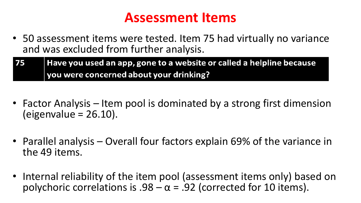#### **Assessment Items**

• 50 assessment items were tested. Item 75 had virtually no variance and was excluded from further analysis.

| 75 | Have you used an app, gone to a website or called a helpline because |
|----|----------------------------------------------------------------------|
|    | vou were concerned about your drinking?                              |

- Factor Analysis Item pool is dominated by a strong first dimension (eigenvalue = 26.10).
- Parallel analysis Overall four factors explain 69% of the variance in the 49 items.
- Internal reliability of the item pool (assessment items only) based on polychoric correlations is  $.98 - \alpha = .92$  (corrected for 10 items).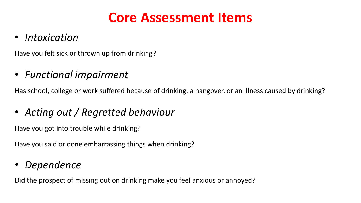#### **Core Assessment Items**

#### • *Intoxication*

Have you felt sick or thrown up from drinking?

#### • *Functional impairment*

Has school, college or work suffered because of drinking, a hangover, or an illness caused by drinking?

• *Acting out / Regretted behaviour*

Have you got into trouble while drinking?

Have you said or done embarrassing things when drinking?

#### • *Dependence*

Did the prospect of missing out on drinking make you feel anxious or annoyed?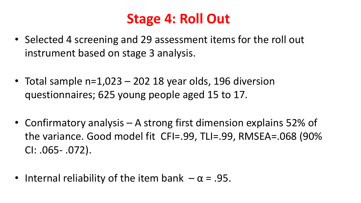## **Stage 4: Roll Out**

- Selected 4 screening and 29 assessment items for the roll out instrument based on stage 3 analysis.
- Total sample n=1,023 202 18 year olds, 196 diversion questionnaires; 625 young people aged 15 to 17.
- Confirmatory analysis A strong first dimension explains 52% of the variance. Good model fit CFI=.99, TLI=.99, RMSEA=.068 (90% CI: .065- .072).
- Internal reliability of the item bank  $-\alpha$  = .95.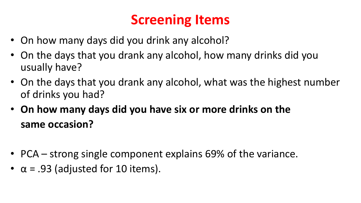# **Screening Items**

- On how many days did you drink any alcohol?
- On the days that you drank any alcohol, how many drinks did you usually have?
- On the days that you drank any alcohol, what was the highest number of drinks you had?
- **On how many days did you have six or more drinks on the same occasion?**
- PCA strong single component explains 69% of the variance.
- $\alpha$  = .93 (adjusted for 10 items).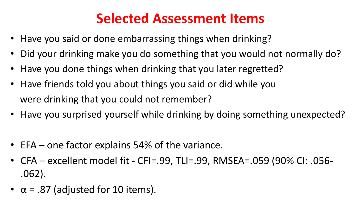## **Selected Assessment Items**

- Have you said or done embarrassing things when drinking?
- Did your drinking make you do something that you would not normally do?
- Have you done things when drinking that you later regretted?
- Have friends told you about things you said or did while you were drinking that you could not remember?
- Have you surprised yourself while drinking by doing something unexpected?
- EFA one factor explains 54% of the variance.
- CFA excellent model fit CFI=.99, TLI=.99, RMSEA=.059 (90% CI: .056- .062).
- $\alpha$  = .87 (adjusted for 10 items).